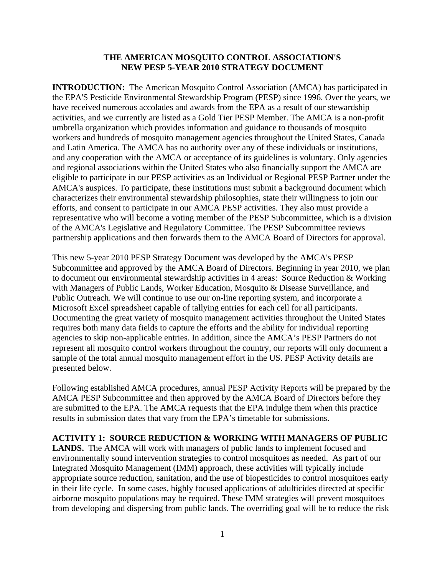## **THE AMERICAN MOSQUITO CONTROL ASSOCIATION'S NEW PESP 5-YEAR 2010 STRATEGY DOCUMENT**

**INTRODUCTION:** The American Mosquito Control Association (AMCA) has participated in the EPA'S Pesticide Environmental Stewardship Program (PESP) since 1996. Over the years, we have received numerous accolades and awards from the EPA as a result of our stewardship activities, and we currently are listed as a Gold Tier PESP Member. The AMCA is a non-profit umbrella organization which provides information and guidance to thousands of mosquito workers and hundreds of mosquito management agencies throughout the United States, Canada and Latin America. The AMCA has no authority over any of these individuals or institutions, and any cooperation with the AMCA or acceptance of its guidelines is voluntary. Only agencies and regional associations within the United States who also financially support the AMCA are eligible to participate in our PESP activities as an Individual or Regional PESP Partner under the AMCA's auspices. To participate, these institutions must submit a background document which characterizes their environmental stewardship philosophies, state their willingness to join our efforts, and consent to participate in our AMCA PESP activities. They also must provide a representative who will become a voting member of the PESP Subcommittee, which is a division of the AMCA's Legislative and Regulatory Committee. The PESP Subcommittee reviews partnership applications and then forwards them to the AMCA Board of Directors for approval.

This new 5-year 2010 PESP Strategy Document was developed by the AMCA's PESP Subcommittee and approved by the AMCA Board of Directors. Beginning in year 2010, we plan to document our environmental stewardship activities in 4 areas: Source Reduction & Working with Managers of Public Lands, Worker Education, Mosquito & Disease Surveillance, and Public Outreach. We will continue to use our on-line reporting system, and incorporate a Microsoft Excel spreadsheet capable of tallying entries for each cell for all participants. Documenting the great variety of mosquito management activities throughout the United States requires both many data fields to capture the efforts and the ability for individual reporting agencies to skip non-applicable entries. In addition, since the AMCA's PESP Partners do not represent all mosquito control workers throughout the country, our reports will only document a sample of the total annual mosquito management effort in the US. PESP Activity details are presented below.

Following established AMCA procedures, annual PESP Activity Reports will be prepared by the AMCA PESP Subcommittee and then approved by the AMCA Board of Directors before they are submitted to the EPA. The AMCA requests that the EPA indulge them when this practice results in submission dates that vary from the EPA's timetable for submissions.

## **ACTIVITY 1: SOURCE REDUCTION & WORKING WITH MANAGERS OF PUBLIC**

**LANDS.** The AMCA will work with managers of public lands to implement focused and environmentally sound intervention strategies to control mosquitoes as needed. As part of our Integrated Mosquito Management (IMM) approach, these activities will typically include appropriate source reduction, sanitation, and the use of biopesticides to control mosquitoes early in their life cycle. In some cases, highly focused applications of adulticides directed at specific airborne mosquito populations may be required. These IMM strategies will prevent mosquitoes from developing and dispersing from public lands. The overriding goal will be to reduce the risk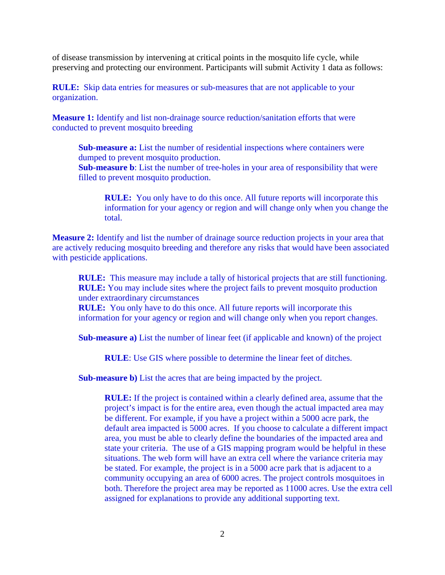of disease transmission by intervening at critical points in the mosquito life cycle, while preserving and protecting our environment. Participants will submit Activity 1 data as follows:

**RULE:** Skip data entries for measures or sub-measures that are not applicable to your organization.

**Measure 1:** Identify and list non-drainage source reduction/sanitation efforts that were conducted to prevent mosquito breeding

**Sub-measure a:** List the number of residential inspections where containers were dumped to prevent mosquito production.

**Sub-measure b**: List the number of tree-holes in your area of responsibility that were filled to prevent mosquito production.

**RULE:** You only have to do this once. All future reports will incorporate this information for your agency or region and will change only when you change the total.

**Measure 2:** Identify and list the number of drainage source reduction projects in your area that are actively reducing mosquito breeding and therefore any risks that would have been associated with pesticide applications.

**RULE:** This measure may include a tally of historical projects that are still functioning. **RULE:** You may include sites where the project fails to prevent mosquito production under extraordinary circumstances

**RULE:** You only have to do this once. All future reports will incorporate this information for your agency or region and will change only when you report changes.

**Sub-measure a)** List the number of linear feet (if applicable and known) of the project

**RULE**: Use GIS where possible to determine the linear feet of ditches.

**Sub-measure b)** List the acres that are being impacted by the project.

**RULE:** If the project is contained within a clearly defined area, assume that the project's impact is for the entire area, even though the actual impacted area may be different. For example, if you have a project within a 5000 acre park, the default area impacted is 5000 acres. If you choose to calculate a different impact area, you must be able to clearly define the boundaries of the impacted area and state your criteria. The use of a GIS mapping program would be helpful in these situations. The web form will have an extra cell where the variance criteria may be stated. For example, the project is in a 5000 acre park that is adjacent to a community occupying an area of 6000 acres. The project controls mosquitoes in both. Therefore the project area may be reported as 11000 acres. Use the extra cell assigned for explanations to provide any additional supporting text.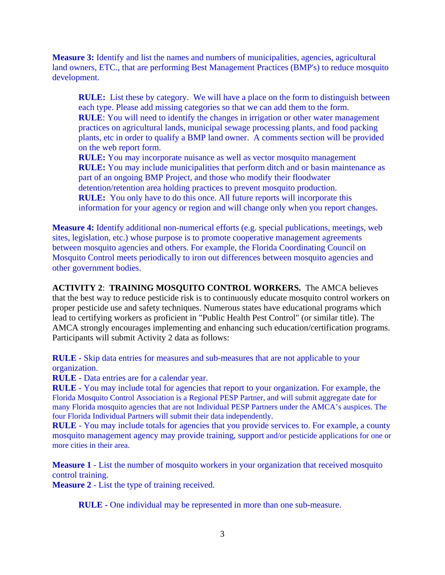**Measure 3:** Identify and list the names and numbers of municipalities, agencies, agricultural land owners, ETC., that are performing Best Management Practices (BMP's) to reduce mosquito development.

**RULE:** List these by category. We will have a place on the form to distinguish between each type. Please add missing categories so that we can add them to the form. **RULE**: You will need to identify the changes in irrigation or other water management practices on agricultural lands, municipal sewage processing plants, and food packing plants, etc in order to qualify a BMP land owner. A comments section will be provided on the web report form.

**RULE:** You may incorporate nuisance as well as vector mosquito management **RULE:** You may include municipalities that perform ditch and or basin maintenance as part of an ongoing BMP Project, and those who modify their floodwater detention/retention area holding practices to prevent mosquito production. **RULE:** You only have to do this once. All future reports will incorporate this information for your agency or region and will change only when you report changes.

**Measure 4:** Identify additional non-numerical efforts (e.g. special publications, meetings, web sites, legislation, etc.) whose purpose is to promote cooperative management agreements between mosquito agencies and others. For example, the Florida Coordinating Council on Mosquito Control meets periodically to iron out differences between mosquito agencies and other government bodies.

**ACTIVITY 2**: **TRAINING MOSQUITO CONTROL WORKERS.** The AMCA believes that the best way to reduce pesticide risk is to continuously educate mosquito control workers on proper pesticide use and safety techniques. Numerous states have educational programs which lead to certifying workers as proficient in "Public Health Pest Control" (or similar title). The AMCA strongly encourages implementing and enhancing such education/certification programs. Participants will submit Activity 2 data as follows:

**RULE -** Skip data entries for measures and sub-measures that are not applicable to your organization.

**RULE -** Data entries are for a calendar year.

**RULE** - You may include total for agencies that report to your organization. For example, the Florida Mosquito Control Association is a Regional PESP Partner, and will submit aggregate date for many Florida mosquito agencies that are not Individual PESP Partners under the AMCA's auspices. The four Florida Individual Partners will submit their data independently.

**RULE** - You may include totals for agencies that you provide services to. For example, a county mosquito management agency may provide training, support and/or pesticide applications for one or more cities in their area.

**Measure 1** - List the number of mosquito workers in your organization that received mosquito control training.

**Measure 2** - List the type of training received.

**RULE -** One individual may be represented in more than one sub-measure.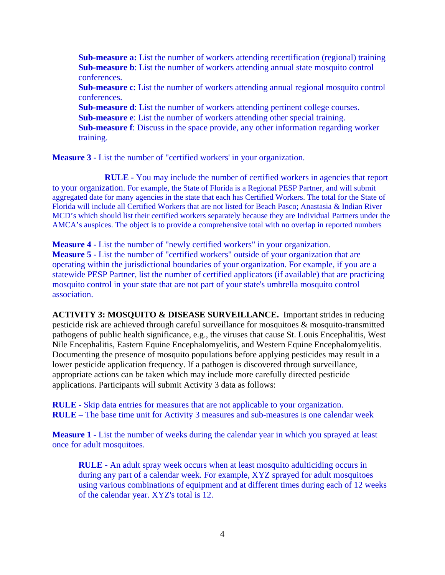**Sub-measure a:** List the number of workers attending recertification (regional) training  **Sub-measure b**: List the number of workers attending annual state mosquito control conferences.

**Sub-measure c**: List the number of workers attending annual regional mosquito control conferences.

**Sub-measure d**: List the number of workers attending pertinent college courses. **Sub-measure e**: List the number of workers attending other special training. **Sub-measure f**: Discuss in the space provide, any other information regarding worker training.

**Measure 3** - List the number of "certified workers' in your organization.

 **RULE** - You may include the number of certified workers in agencies that report to your organization. For example, the State of Florida is a Regional PESP Partner, and will submit aggregated date for many agencies in the state that each has Certified Workers. The total for the State of Florida will include all Certified Workers that are not listed for Beach Pasco; Anastasia & Indian River MCD's which should list their certified workers separately because they are Individual Partners under the AMCA's auspices. The object is to provide a comprehensive total with no overlap in reported numbers

**Measure 4** - List the number of "newly certified workers" in your organization. **Measure 5** - List the number of "certified workers" outside of your organization that are operating within the jurisdictional boundaries of your organization. For example, if you are a statewide PESP Partner, list the number of certified applicators (if available) that are practicing mosquito control in your state that are not part of your state's umbrella mosquito control association.

**ACTIVITY 3: MOSQUITO & DISEASE SURVEILLANCE.** Important strides in reducing pesticide risk are achieved through careful surveillance for mosquitoes  $\&$  mosquito-transmitted pathogens of public health significance, e.g., the viruses that cause St. Louis Encephalitis, West Nile Encephalitis, Eastern Equine Encephalomyelitis, and Western Equine Encephalomyelitis. Documenting the presence of mosquito populations before applying pesticides may result in a lower pesticide application frequency. If a pathogen is discovered through surveillance, appropriate actions can be taken which may include more carefully directed pesticide applications. Participants will submit Activity 3 data as follows:

**RULE -** Skip data entries for measures that are not applicable to your organization. **RULE** – The base time unit for Activity 3 measures and sub-measures is one calendar week

**Measure 1 -** List the number of weeks during the calendar year in which you sprayed at least once for adult mosquitoes.

**RULE -** An adult spray week occurs when at least mosquito adulticiding occurs in during any part of a calendar week. For example, XYZ sprayed for adult mosquitoes using various combinations of equipment and at different times during each of 12 weeks of the calendar year. XYZ's total is 12.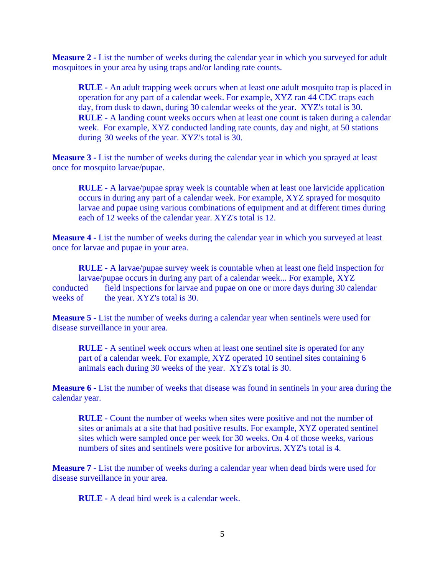**Measure 2 -** List the number of weeks during the calendar year in which you surveyed for adult mosquitoes in your area by using traps and/or landing rate counts.

**RULE -** An adult trapping week occurs when at least one adult mosquito trap is placed in operation for any part of a calendar week. For example, XYZ ran 44 CDC traps each day, from dusk to dawn, during 30 calendar weeks of the year. XYZ's total is 30. **RULE -** A landing count weeks occurs when at least one count is taken during a calendar week. For example, XYZ conducted landing rate counts, day and night, at 50 stations during 30 weeks of the year. XYZ's total is 30.

**Measure 3 -** List the number of weeks during the calendar year in which you sprayed at least once for mosquito larvae/pupae.

**RULE -** A larvae/pupae spray week is countable when at least one larvicide application occurs in during any part of a calendar week. For example, XYZ sprayed for mosquito larvae and pupae using various combinations of equipment and at different times during each of 12 weeks of the calendar year. XYZ's total is 12.

**Measure 4 -** List the number of weeks during the calendar year in which you surveyed at least once for larvae and pupae in your area.

**RULE -** A larvae/pupae survey week is countable when at least one field inspection for larvae/pupae occurs in during any part of a calendar week... For example, XYZ conducted field inspections for larvae and pupae on one or more days during 30 calendar weeks of the year. XYZ's total is 30.

**Measure 5 -** List the number of weeks during a calendar year when sentinels were used for disease surveillance in your area.

**RULE -** A sentinel week occurs when at least one sentinel site is operated for any part of a calendar week. For example, XYZ operated 10 sentinel sites containing 6 animals each during 30 weeks of the year. XYZ's total is 30.

**Measure 6 - List the number of weeks that disease was found in sentinels in your area during the** calendar year.

**RULE -** Count the number of weeks when sites were positive and not the number of sites or animals at a site that had positive results. For example, XYZ operated sentinel sites which were sampled once per week for 30 weeks. On 4 of those weeks, various numbers of sites and sentinels were positive for arbovirus. XYZ's total is 4.

**Measure 7 -** List the number of weeks during a calendar year when dead birds were used for disease surveillance in your area.

**RULE -** A dead bird week is a calendar week.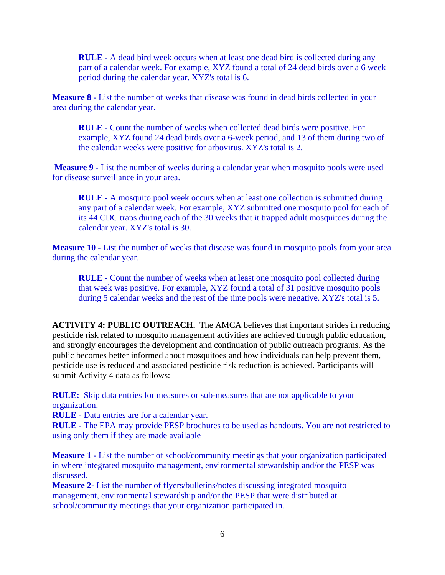**RULE -** A dead bird week occurs when at least one dead bird is collected during any part of a calendar week. For example, XYZ found a total of 24 dead birds over a 6 week period during the calendar year. XYZ's total is 6.

**Measure 8 -** List the number of weeks that disease was found in dead birds collected in your area during the calendar year.

 **RULE -** Count the number of weeks when collected dead birds were positive. For example, XYZ found 24 dead birds over a 6-week period, and 13 of them during two of the calendar weeks were positive for arbovirus. XYZ's total is 2.

**Measure 9 -** List the number of weeks during a calendar year when mosquito pools were used for disease surveillance in your area.

**RULE -** A mosquito pool week occurs when at least one collection is submitted during any part of a calendar week. For example, XYZ submitted one mosquito pool for each of its 44 CDC traps during each of the 30 weeks that it trapped adult mosquitoes during the calendar year. XYZ's total is 30.

**Measure 10 -** List the number of weeks that disease was found in mosquito pools from your area during the calendar year.

 **RULE -** Count the number of weeks when at least one mosquito pool collected during that week was positive. For example, XYZ found a total of 31 positive mosquito pools during 5 calendar weeks and the rest of the time pools were negative. XYZ's total is 5.

**ACTIVITY 4: PUBLIC OUTREACH.** The AMCA believes that important strides in reducing pesticide risk related to mosquito management activities are achieved through public education, and strongly encourages the development and continuation of public outreach programs. As the public becomes better informed about mosquitoes and how individuals can help prevent them, pesticide use is reduced and associated pesticide risk reduction is achieved. Participants will submit Activity 4 data as follows:

**RULE:** Skip data entries for measures or sub-measures that are not applicable to your organization.

**RULE -** Data entries are for a calendar year.

**RULE** - The EPA may provide PESP brochures to be used as handouts. You are not restricted to using only them if they are made available

**Measure 1 -** List the number of school/community meetings that your organization participated in where integrated mosquito management, environmental stewardship and/or the PESP was discussed.

**Measure 2-** List the number of flyers/bulletins/notes discussing integrated mosquito management, environmental stewardship and/or the PESP that were distributed at school/community meetings that your organization participated in.